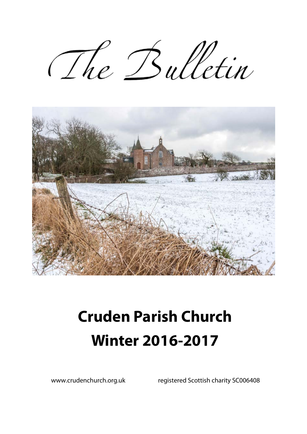The Bulletin



# **Cruden Parish Church Winter 2016-2017**

www.crudenchurch.org.uk registered Scottish charity SC006408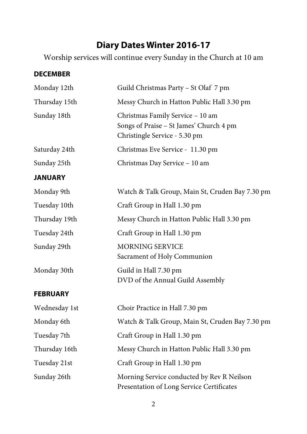## **Diary Dates Winter 2016-17**

Worship services will continue every Sunday in the Church at 10 am

#### **DECEMBER**

| Monday 12th     | Guild Christmas Party - St Olaf 7 pm                                                                         |  |  |
|-----------------|--------------------------------------------------------------------------------------------------------------|--|--|
| Thursday 15th   | Messy Church in Hatton Public Hall 3.30 pm                                                                   |  |  |
| Sunday 18th     | Christmas Family Service - 10 am<br>Songs of Praise - St James' Church 4 pm<br>Christingle Service - 5.30 pm |  |  |
| Saturday 24th   | Christmas Eve Service - 11.30 pm                                                                             |  |  |
| Sunday 25th     | Christmas Day Service - 10 am                                                                                |  |  |
| <b>JANUARY</b>  |                                                                                                              |  |  |
| Monday 9th      | Watch & Talk Group, Main St, Cruden Bay 7.30 pm                                                              |  |  |
| Tuesday 10th    | Craft Group in Hall 1.30 pm                                                                                  |  |  |
| Thursday 19th   | Messy Church in Hatton Public Hall 3.30 pm                                                                   |  |  |
| Tuesday 24th    | Craft Group in Hall 1.30 pm                                                                                  |  |  |
| Sunday 29th     | <b>MORNING SERVICE</b><br>Sacrament of Holy Communion                                                        |  |  |
| Monday 30th     | Guild in Hall 7.30 pm<br>DVD of the Annual Guild Assembly                                                    |  |  |
| <b>FEBRUARY</b> |                                                                                                              |  |  |
| Wednesday 1st   | Choir Practice in Hall 7.30 pm                                                                               |  |  |
| Monday 6th      | Watch & Talk Group, Main St, Cruden Bay 7.30 pm                                                              |  |  |
| Tuesday 7th     | Craft Group in Hall 1.30 pm                                                                                  |  |  |
| Thursday 16th   | Messy Church in Hatton Public Hall 3.30 pm                                                                   |  |  |
| Tuesday 21st    | Craft Group in Hall 1.30 pm                                                                                  |  |  |
| Sunday 26th     | Morning Service conducted by Rev R Neilson<br>Presentation of Long Service Certificates                      |  |  |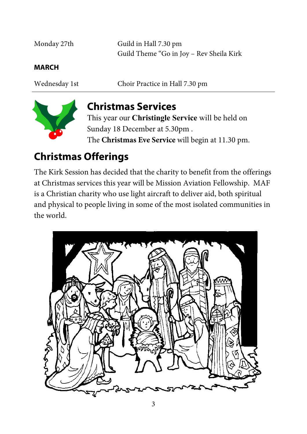| Monday 27th | Guild in Hall 7.30 pm<br>Guild Theme "Go in Joy – Rev Sheila Kirk |
|-------------|-------------------------------------------------------------------|
| MARCH       |                                                                   |

Wednesday 1st Choir Practice in Hall 7.30 pm



## **Christmas Services**

This year our **Christingle Service** will be held on Sunday 18 December at 5.30pm . The **Christmas Eve Service** will begin at 11.30 pm.

## **Christmas Offerings**

The Kirk Session has decided that the charity to benefit from the offerings at Christmas services this year will be Mission Aviation Fellowship. MAF is a Christian charity who use light aircraft to deliver aid, both spiritual and physical to people living in some of the most isolated communities in the world.

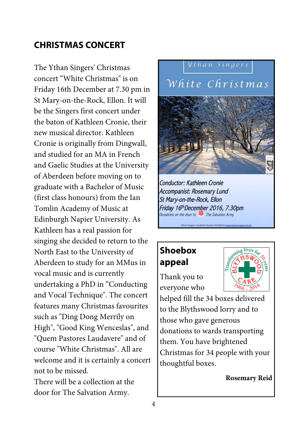## **CHRISTMAS CONCERT**

The Ythan Singers' Christmas concert "White Christmas" is on Friday 16th December at 7.30 pm in St Mary-on-the-Rock, Ellon. It will be the Singers first concert under the baton of Kathleen Cronie, their new musical director. Kathleen Cronie is originally from Dingwall, and studied for an MA in French and Gaelic Studies at the University of Aberdeen before moving on to graduate with a Bachelor of Music (first class honours) from the Ian Tomlin Academy of Music at Edinburgh Napier University. As Kathleen has a real passion for singing she decided to return to the North East to the University of Aberdeen to study for an MMus in vocal music and is currently undertaking a PhD in "Conducting and Vocal Technique". The concert features many Christmas favourites such as "Ding Dong Merrily on High", "Good King Wenceslas", and "Quem Pastores Laudavere" and of course "White Christmas". All are welcome and it is certainly a concert not to be missed. There will be a collection at the



door for The Salvation Army.



Conductor: Kathleen Cronie Accompanist: Rosemary Lund St Mary-on-the-Rock, Ellon Friday 16th December 2016, 7.30pm Donations on the door to The Salvation Army

## **Shoebox appeal**

Thank you to everyone who



helped fill the 34 boxes delivered to the Blythswood lorry and to those who gave generous donations to wards transporting them. You have brightened Christmas for 34 people with your thoughtful boxes.

**Rosemary Reid**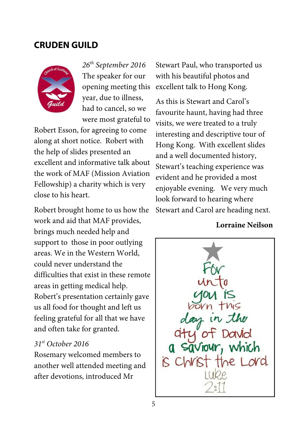#### **CRUDEN GUILD**



*26th September 2016* The speaker for our opening meeting this year, due to illness, had to cancel, so we were most grateful to

Robert Esson, for agreeing to come along at short notice. Robert with the help of slides presented an excellent and informative talk about the work of MAF (Mission Aviation Fellowship) a charity which is very close to his heart.

Robert brought home to us how the work and aid that MAF provides, brings much needed help and support to those in poor outlying areas. We in the Western World, could never understand the difficulties that exist in these remote areas in getting medical help. Robert's presentation certainly gave us all food for thought and left us feeling grateful for all that we have and often take for granted.

#### *31st October 2016*

Rosemary welcomed members to another well attended meeting and after devotions, introduced Mr

Stewart Paul, who transported us with his beautiful photos and excellent talk to Hong Kong.

As this is Stewart and Carol's favourite haunt, having had three visits, we were treated to a truly interesting and descriptive tour of Hong Kong. With excellent slides and a well documented history, Stewart's teaching experience was evident and he provided a most enjoyable evening. We very much look forward to hearing where Stewart and Carol are heading next.

#### **Lorraine Neilson**

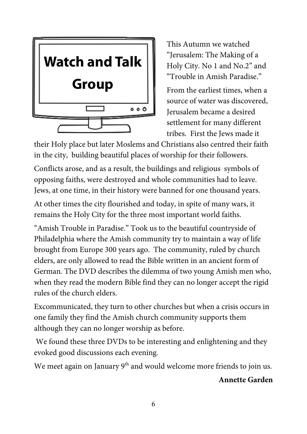

This Autumn we watched "Jerusalem: The Making of a Holy City. No 1 and No.2" and "Trouble in Amish Paradise."

From the earliest times, when a source of water was discovered, Jerusalem became a desired settlement for many different tribes. First the Jews made it

their Holy place but later Moslems and Christians also centred their faith in the city, building beautiful places of worship for their followers.

Conflicts arose, and as a result, the buildings and religious symbols of opposing faiths, were destroyed and whole communities had to leave. Jews, at one time, in their history were banned for one thousand years.

At other times the city flourished and today, in spite of many wars, it remains the Holy City for the three most important world faiths.

"Amish Trouble in Paradise." Took us to the beautiful countryside of Philadelphia where the Amish community try to maintain a way of life brought from Europe 300 years ago. The community, ruled by church elders, are only allowed to read the Bible written in an ancient form of German. The DVD describes the dilemma of two young Amish men who, when they read the modern Bible find they can no longer accept the rigid rules of the church elders.

Excommunicated, they turn to other churches but when a crisis occurs in one family they find the Amish church community supports them although they can no longer worship as before.

 We found these three DVDs to be interesting and enlightening and they evoked good discussions each evening.

We meet again on January 9<sup>th</sup> and would welcome more friends to join us.

#### **Annette Garden**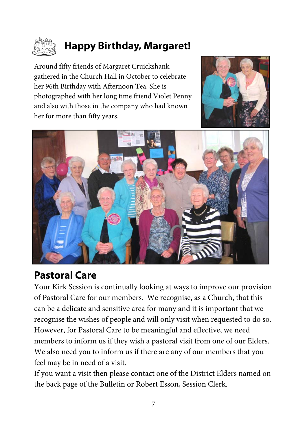

## **Happy Birthday, Margaret!**

Around fifty friends of Margaret Cruickshank gathered in the Church Hall in October to celebrate her 96th Birthday with Afternoon Tea. She is photographed with her long time friend Violet Penny and also with those in the company who had known her for more than fifty years.





## **Pastoral Care**

Your Kirk Session is continually looking at ways to improve our provision of Pastoral Care for our members. We recognise, as a Church, that this can be a delicate and sensitive area for many and it is important that we recognise the wishes of people and will only visit when requested to do so. However, for Pastoral Care to be meaningful and effective, we need members to inform us if they wish a pastoral visit from one of our Elders. We also need you to inform us if there are any of our members that you feel may be in need of a visit.

If you want a visit then please contact one of the District Elders named on the back page of the Bulletin or Robert Esson, Session Clerk.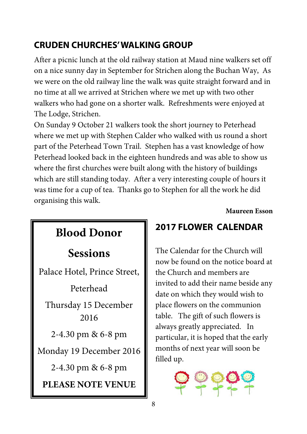## **CRUDEN CHURCHES' WALKING GROUP**

After a picnic lunch at the old railway station at Maud nine walkers set off on a nice sunny day in September for Strichen along the Buchan Way, As we were on the old railway line the walk was quite straight forward and in no time at all we arrived at Strichen where we met up with two other walkers who had gone on a shorter walk. Refreshments were enjoyed at The Lodge, Strichen.

On Sunday 9 October 21 walkers took the short journey to Peterhead where we met up with Stephen Calder who walked with us round a short part of the Peterhead Town Trail. Stephen has a vast knowledge of how Peterhead looked back in the eighteen hundreds and was able to show us where the first churches were built along with the history of buildings which are still standing today. After a very interesting couple of hours it was time for a cup of tea. Thanks go to Stephen for all the work he did organising this walk.

**Maureen Esson** 

## **Sessions**

Palace Hotel, Prince Street,

Peterhead Thursday 15 December 2016

2-4.30 pm & 6-8 pm

Monday 19 December 2016

2-4.30 pm & 6-8 pm

**PLEASE NOTE VENUE** 

## **2017 FLOWER CALENDAR Blood Donor**

The Calendar for the Church will now be found on the notice board at the Church and members are invited to add their name beside any date on which they would wish to place flowers on the communion table. The gift of such flowers is always greatly appreciated. In particular, it is hoped that the early months of next year will soon be filled up.

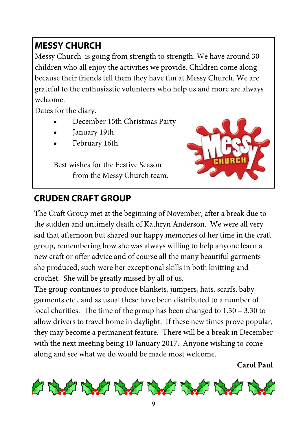## **MESSY CHURCH**

Messy Church is going from strength to strength. We have around 30 children who all enjoy the activities we provide. Children come along because their friends tell them they have fun at Messy Church. We are grateful to the enthusiastic volunteers who help us and more are always welcome.

Dates for the diary.

- December 15th Christmas Party
- January 19th
- February 16th

 Best wishes for the Festive Season from the Messy Church team.



## **CRUDEN CRAFT GROUP**

The Craft Group met at the beginning of November, after a break due to the sudden and untimely death of Kathryn Anderson. We were all very sad that afternoon but shared our happy memories of her time in the craft group, remembering how she was always willing to help anyone learn a new craft or offer advice and of course all the many beautiful garments she produced, such were her exceptional skills in both knitting and crochet. She will be greatly missed by all of us.

The group continues to produce blankets, jumpers, hats, scarfs, baby garments etc., and as usual these have been distributed to a number of local charities. The time of the group has been changed to 1.30 – 3.30 to allow drivers to travel home in daylight. If these new times prove popular, they may become a permanent feature. There will be a break in December with the next meeting being 10 January 2017. Anyone wishing to come along and see what we do would be made most welcome.

**Carol Paul** 

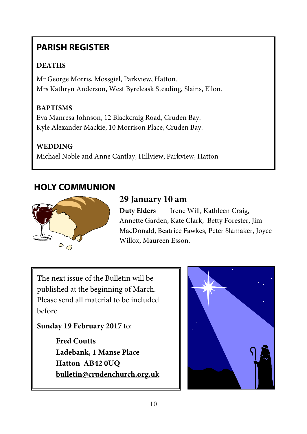## **PARISH REGISTER**

#### **DEATHS**

Mr George Morris, Mossgiel, Parkview, Hatton. Mrs Kathryn Anderson, West Byreleask Steading, Slains, Ellon.

#### **BAPTISMS**

Eva Manresa Johnson, 12 Blackcraig Road, Cruden Bay. Kyle Alexander Mackie, 10 Morrison Place, Cruden Bay.

#### **WEDDING**

Michael Noble and Anne Cantlay, Hillview, Parkview, Hatton

#### **HOLY COMMUNION**



### **29 January 10 am**

**Duty Elders** Irene Will, Kathleen Craig, Annette Garden, Kate Clark, Betty Forester, Jim MacDonald, Beatrice Fawkes, Peter Slamaker, Joyce Willox, Maureen Esson.

The next issue of the Bulletin will be published at the beginning of March. Please send all material to be included before

#### **Sunday 19 February 2017** to:

**Fred Coutts Ladebank, 1 Manse Place Hatton AB42 0UQ bulletin@crudenchurch.org.uk**

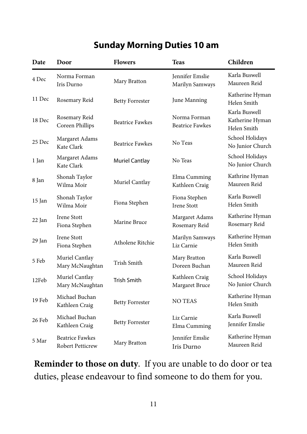## **Sunday Morning Duties 10 am**

| Date   | Door                                              | <b>Flowers</b>         | <b>Teas</b>                               | Children                                        |
|--------|---------------------------------------------------|------------------------|-------------------------------------------|-------------------------------------------------|
| 4 Dec  | Norma Forman<br>Iris Durno                        | Mary Bratton           | <b>Iennifer Emslie</b><br>Marilyn Samways | Karla Buswell<br>Maureen Reid                   |
| 11 Dec | Rosemary Reid                                     | <b>Betty Forrester</b> | June Manning                              | Katherine Hyman<br>Helen Smith                  |
| 18 Dec | Rosemary Reid<br>Coreen Phillips                  | <b>Beatrice Fawkes</b> | Norma Forman<br><b>Beatrice Fawkes</b>    | Karla Buswell<br>Katherine Hyman<br>Helen Smith |
| 25 Dec | Margaret Adams<br>Kate Clark                      | <b>Beatrice Fawkes</b> | No Teas                                   | School Holidays<br>No Junior Church             |
| 1 Jan  | Margaret Adams<br>Kate Clark                      | <b>Muriel Cantlay</b>  | No Teas                                   | School Holidays<br>No Junior Church             |
| 8 Jan  | Shonah Taylor<br>Wilma Moir                       | Muriel Cantlay         | Elma Cumming<br>Kathleen Craig            | Kathrine Hyman<br>Maureen Reid                  |
| 15 Jan | Shonah Taylor<br>Wilma Moir                       | Fiona Stephen          | Fiona Stephen<br><b>Irene Stott</b>       | Karla Buswell<br>Helen Smith                    |
| 22 Jan | Irene Stott<br>Fiona Stephen                      | Marine Bruce           | Margaret Adams<br>Rosemary Reid           | Katherine Hyman<br>Rosemary Reid                |
| 29 Jan | <b>Irene Stott</b><br>Fiona Stephen               | Atholene Ritchie       | Marilyn Samways<br>Liz Carnie             | Katherine Hyman<br>Helen Smith                  |
| 5 Feb  | Muriel Cantlay<br>Mary McNaughtan                 | <b>Trish Smith</b>     | Mary Bratton<br>Doreen Buchan             | Karla Buswell<br>Maureen Reid                   |
| 12Feb  | Muriel Cantlay<br>Mary McNaughtan                 | Trish Smith            | Kathleen Craig<br>Margaret Bruce          | School Holidays<br>No Junior Church             |
| 19 Feb | Michael Buchan<br>Kathleen Craig                  | <b>Betty Forrester</b> | <b>NO TEAS</b>                            | Katherine Hyman<br>Helen Smith                  |
| 26 Feb | Michael Buchan<br>Kathleen Craig                  | <b>Betty Forrester</b> | Liz Carnie<br>Elma Cumming                | Karla Buswell<br>Jennifer Emslie                |
| 5 Mar  | <b>Beatrice Fawkes</b><br><b>Robert Petticrew</b> | Mary Bratton           | Jennifer Emslie<br>Iris Durno             | Katherine Hyman<br>Maureen Reid                 |

**Reminder to those on duty**. If you are unable to do door or tea duties, please endeavour to find someone to do them for you.